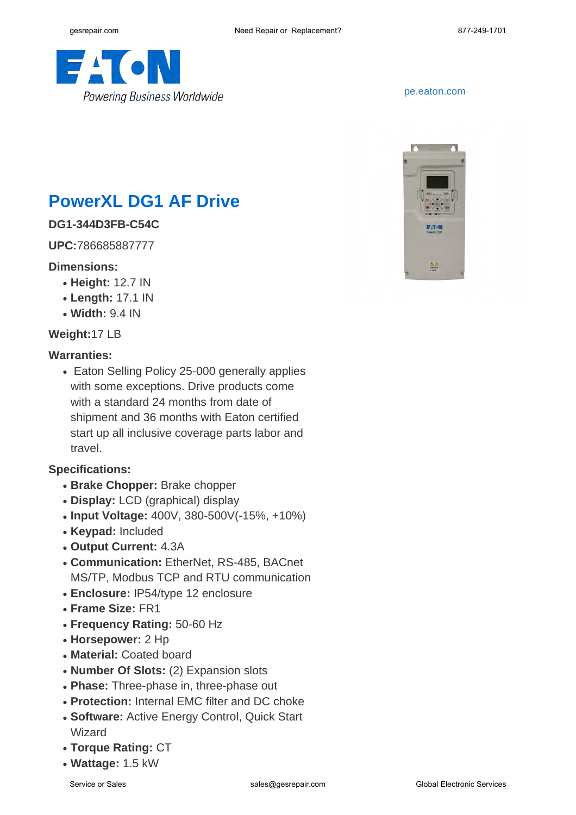

#### <pe.eaton.com>



# **PowerXL DG1 AF Drive**

## **DG1-344D3FB-C54C**

**UPC:**786685887777

#### **Dimensions:**

- **Height:** 12.7 IN
- **Length:** 17.1 IN
- **Width:** 9.4 IN

### **Weight:**17 LB

#### **Warranties:**

• Eaton Selling Policy 25-000 generally applies with some exceptions. Drive products come with a standard 24 months from date of shipment and 36 months with Eaton certified start up all inclusive coverage parts labor and travel.

### **Specifications:**

- **Brake Chopper:** Brake chopper
- **Display:** LCD (graphical) display
- **Input Voltage:** 400V, 380-500V(-15%, +10%)
- **Keypad:** Included
- **Output Current:** 4.3A
- **Communication: EtherNet, RS-485, BACnet** MS/TP, Modbus TCP and RTU communication
- **Enclosure:** IP54/type 12 enclosure
- **Frame Size:** FR1
- **Frequency Rating:** 50-60 Hz
- **Horsepower:** 2 Hp
- **Material: Coated board**
- **Number Of Slots:** (2) Expansion slots
- Phase: Three-phase in, three-phase out
- Protection: Internal EMC filter and DC choke
- Software: Active Energy Control, Quick Start Wizard
- **Torque Rating:** CT
- **Wattage:** 1.5 kW